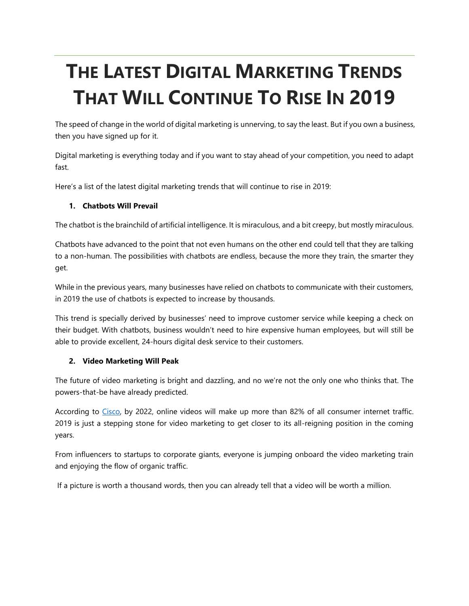# **THE LATEST DIGITAL MARKETING TRENDS THAT WILL CONTINUE TO RISE IN 2019**

The speed of change in the world of digital marketing is unnerving, to say the least. But if you own a business, then you have signed up for it.

Digital marketing is everything today and if you want to stay ahead of your competition, you need to adapt fast.

Here's a list of the latest digital marketing trends that will continue to rise in 2019:

## **1. Chatbots Will Prevail**

The chatbot is the brainchild of artificial intelligence. It is miraculous, and a bit creepy, but mostly miraculous.

Chatbots have advanced to the point that not even humans on the other end could tell that they are talking to a non-human. The possibilities with chatbots are endless, because the more they train, the smarter they get.

While in the previous years, many businesses have relied on chatbots to communicate with their customers, in 2019 the use of chatbots is expected to increase by thousands.

This trend is specially derived by businesses' need to improve customer service while keeping a check on their budget. With chatbots, business wouldn't need to hire expensive human employees, but will still be able to provide excellent, 24-hours digital desk service to their customers.

#### **2. Video Marketing Will Peak**

The future of video marketing is bright and dazzling, and no we're not the only one who thinks that. The powers-that-be have already predicted.

According to [Cisco,](https://www.cisco.com/c/en/us/solutions/collateral/service-provider/visual-networking-index-vni/white-paper-c11-741490.html) by 2022, online videos will make up more than 82% of all consumer internet traffic. 2019 is just a stepping stone for video marketing to get closer to its all-reigning position in the coming years.

From influencers to startups to corporate giants, everyone is jumping onboard the video marketing train and enjoying the flow of organic traffic.

If a picture is worth a thousand words, then you can already tell that a video will be worth a million.